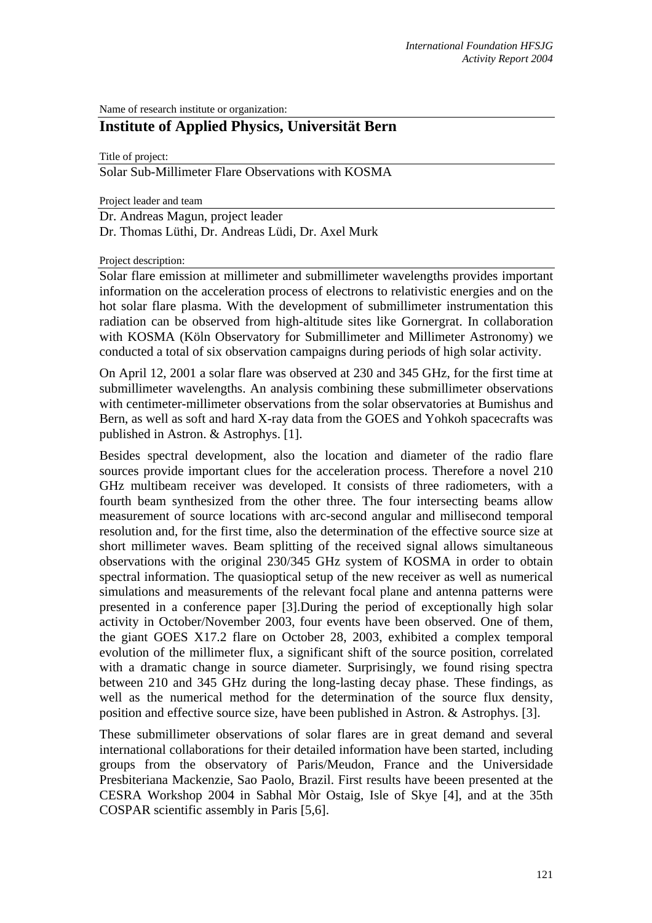Name of research institute or organization:

# **Institute of Applied Physics, Universität Bern**

Title of project:

Solar Sub-Millimeter Flare Observations with KOSMA

Project leader and team

Dr. Andreas Magun, project leader Dr. Thomas Lüthi, Dr. Andreas Lüdi, Dr. Axel Murk

Project description:

Solar flare emission at millimeter and submillimeter wavelengths provides important information on the acceleration process of electrons to relativistic energies and on the hot solar flare plasma. With the development of submillimeter instrumentation this radiation can be observed from high-altitude sites like Gornergrat. In collaboration with KOSMA (Köln Observatory for Submillimeter and Millimeter Astronomy) we conducted a total of six observation campaigns during periods of high solar activity.

On April 12, 2001 a solar flare was observed at 230 and 345 GHz, for the first time at submillimeter wavelengths. An analysis combining these submillimeter observations with centimeter-millimeter observations from the solar observatories at Bumishus and Bern, as well as soft and hard X-ray data from the GOES and Yohkoh spacecrafts was published in Astron. & Astrophys. [1].

Besides spectral development, also the location and diameter of the radio flare sources provide important clues for the acceleration process. Therefore a novel 210 GHz multibeam receiver was developed. It consists of three radiometers, with a fourth beam synthesized from the other three. The four intersecting beams allow measurement of source locations with arc-second angular and millisecond temporal resolution and, for the first time, also the determination of the effective source size at short millimeter waves. Beam splitting of the received signal allows simultaneous observations with the original 230/345 GHz system of KOSMA in order to obtain spectral information. The quasioptical setup of the new receiver as well as numerical simulations and measurements of the relevant focal plane and antenna patterns were presented in a conference paper [3].During the period of exceptionally high solar activity in October/November 2003, four events have been observed. One of them, the giant GOES X17.2 flare on October 28, 2003, exhibited a complex temporal evolution of the millimeter flux, a significant shift of the source position, correlated with a dramatic change in source diameter. Surprisingly, we found rising spectra between 210 and 345 GHz during the long-lasting decay phase. These findings, as well as the numerical method for the determination of the source flux density, position and effective source size, have been published in Astron. & Astrophys. [3].

These submillimeter observations of solar flares are in great demand and several international collaborations for their detailed information have been started, including groups from the observatory of Paris/Meudon, France and the Universidade Presbiteriana Mackenzie, Sao Paolo, Brazil. First results have beeen presented at the CESRA Workshop 2004 in Sabhal Mòr Ostaig, Isle of Skye [4], and at the 35th COSPAR scientific assembly in Paris [5,6].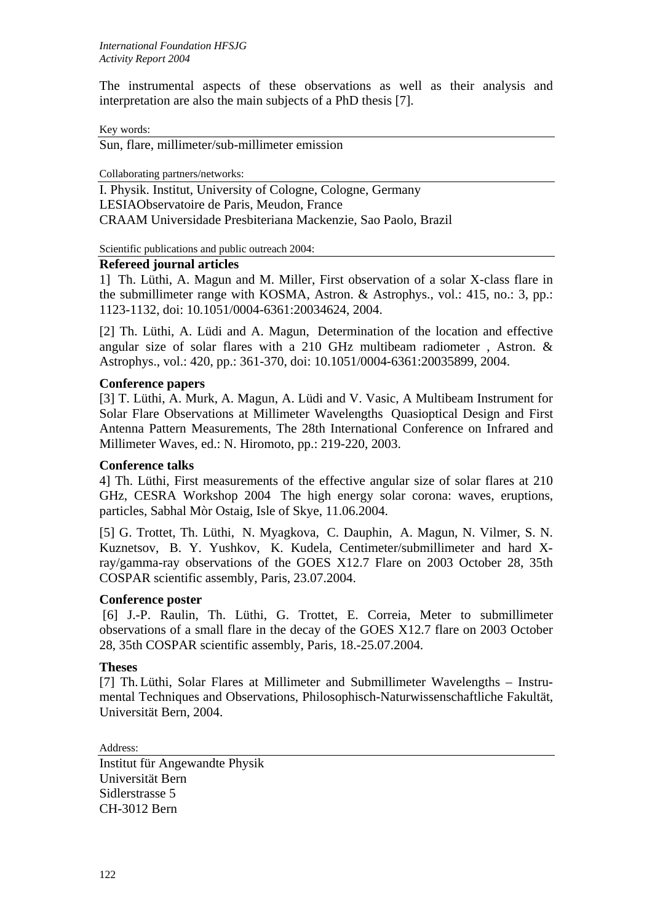The instrumental aspects of these observations as well as their analysis and interpretation are also the main subjects of a PhD thesis [7].

Key words:

Sun, flare, millimeter/sub-millimeter emission

Collaborating partners/networks:

I. Physik. Institut, University of Cologne, Cologne, Germany LESIAObservatoire de Paris, Meudon, France CRAAM Universidade Presbiteriana Mackenzie, Sao Paolo, Brazil

Scientific publications and public outreach 2004:

### **Refereed journal articles**

1] Th. Lüthi, A. Magun and M. Miller, First observation of a solar X-class flare in the submillimeter range with KOSMA, Astron. & Astrophys., vol.: 415, no.: 3, pp.: 1123-1132, doi: 10.1051/0004-6361:20034624, 2004.

[2] Th. Lüthi, A. Lüdi and A. Magun, Determination of the location and effective angular size of solar flares with a 210 GHz multibeam radiometer , Astron. & Astrophys., vol.: 420, pp.: 361-370, doi: 10.1051/0004-6361:20035899, 2004.

## **Conference papers**

[3] T. Lüthi, A. Murk, A. Magun, A. Lüdi and V. Vasic, A Multibeam Instrument for Solar Flare Observations at Millimeter Wavelengths Quasioptical Design and First Antenna Pattern Measurements, The 28th International Conference on Infrared and Millimeter Waves, ed.: N. Hiromoto, pp.: 219-220, 2003.

### **Conference talks**

4] Th. Lüthi, First measurements of the effective angular size of solar flares at 210 GHz, CESRA Workshop 2004 The high energy solar corona: waves, eruptions, particles, Sabhal Mòr Ostaig, Isle of Skye, 11.06.2004.

[5] G. Trottet, Th. Lüthi, N. Myagkova, C. Dauphin, A. Magun, N. Vilmer, S. N. Kuznetsov, B. Y. Yushkov, K. Kudela, Centimeter/submillimeter and hard Xray/gamma-ray observations of the GOES X12.7 Flare on 2003 October 28, 35th COSPAR scientific assembly, Paris, 23.07.2004.

## **Conference poster**

[6] J.-P. Raulin, Th. Lüthi, G. Trottet, E. Correia, Meter to submillimeter observations of a small flare in the decay of the GOES X12.7 flare on 2003 October 28, 35th COSPAR scientific assembly, Paris, 18.-25.07.2004.

## **Theses**

[7] Th. Lüthi, Solar Flares at Millimeter and Submillimeter Wavelengths – Instrumental Techniques and Observations, Philosophisch-Naturwissenschaftliche Fakultät, Universität Bern, 2004.

Address:

Institut für Angewandte Physik Universität Bern Sidlerstrasse 5 CH-3012 Bern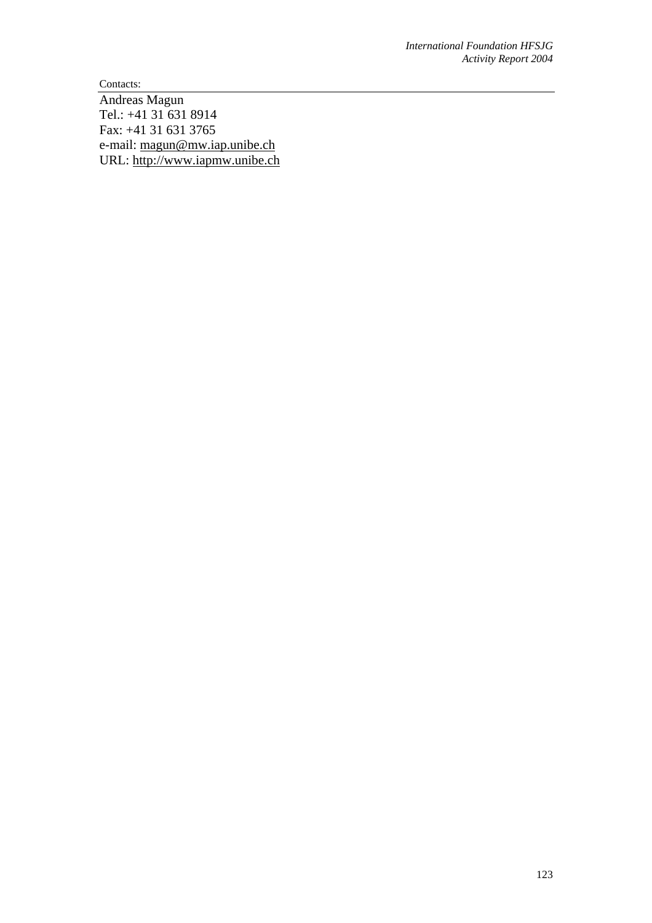Contacts:

Andreas Magun Tel.: +41 31 631 8914 Fax: +41 31 631 3765 e-mail: [magun@mw.iap.unibe.ch](mailto:magun@mw.iap.unibe.ch) URL: [http://www.iapmw.unibe.ch](http://www.iapmw.unibe.ch/)